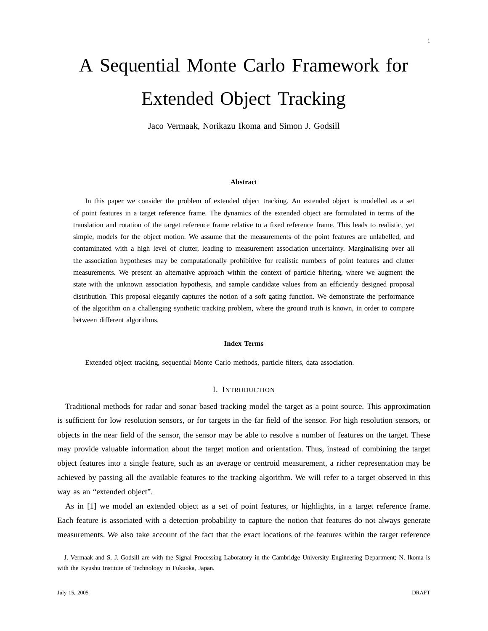Jaco Vermaak, Norikazu Ikoma and Simon J. Godsill

#### **Abstract**

In this paper we consider the problem of extended object tracking. An extended object is modelled as a set of point features in a target reference frame. The dynamics of the extended object are formulated in terms of the translation and rotation of the target reference frame relative to a fixed reference frame. This leads to realistic, yet simple, models for the object motion. We assume that the measurements of the point features are unlabelled, and contaminated with a high level of clutter, leading to measurement association uncertainty. Marginalising over all the association hypotheses may be computationally prohibitive for realistic numbers of point features and clutter measurements. We present an alternative approach within the context of particle filtering, where we augment the state with the unknown association hypothesis, and sample candidate values from an efficiently designed proposal distribution. This proposal elegantly captures the notion of a soft gating function. We demonstrate the performance of the algorithm on a challenging synthetic tracking problem, where the ground truth is known, in order to compare between different algorithms.

#### **Index Terms**

Extended object tracking, sequential Monte Carlo methods, particle filters, data association.

## I. INTRODUCTION

Traditional methods for radar and sonar based tracking model the target as a point source. This approximation is sufficient for low resolution sensors, or for targets in the far field of the sensor. For high resolution sensors, or objects in the near field of the sensor, the sensor may be able to resolve a number of features on the target. These may provide valuable information about the target motion and orientation. Thus, instead of combining the target object features into a single feature, such as an average or centroid measurement, a richer representation may be achieved by passing all the available features to the tracking algorithm. We will refer to a target observed in this way as an "extended object".

As in [1] we model an extended object as a set of point features, or highlights, in a target reference frame. Each feature is associated with a detection probability to capture the notion that features do not always generate measurements. We also take account of the fact that the exact locations of the features within the target reference

J. Vermaak and S. J. Godsill are with the Signal Processing Laboratory in the Cambridge University Engineering Department; N. Ikoma is with the Kyushu Institute of Technology in Fukuoka, Japan.

1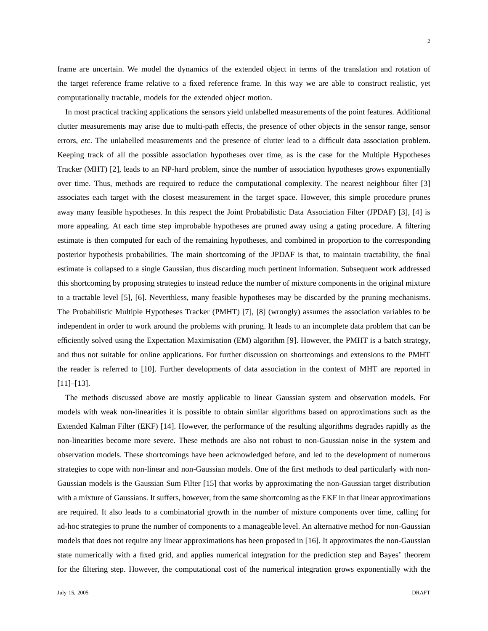frame are uncertain. We model the dynamics of the extended object in terms of the translation and rotation of the target reference frame relative to a fixed reference frame. In this way we are able to construct realistic, yet computationally tractable, models for the extended object motion.

In most practical tracking applications the sensors yield unlabelled measurements of the point features. Additional clutter measurements may arise due to multi-path effects, the presence of other objects in the sensor range, sensor errors, *etc*. The unlabelled measurements and the presence of clutter lead to a difficult data association problem. Keeping track of all the possible association hypotheses over time, as is the case for the Multiple Hypotheses Tracker (MHT) [2], leads to an NP-hard problem, since the number of association hypotheses grows exponentially over time. Thus, methods are required to reduce the computational complexity. The nearest neighbour filter [3] associates each target with the closest measurement in the target space. However, this simple procedure prunes away many feasible hypotheses. In this respect the Joint Probabilistic Data Association Filter (JPDAF) [3], [4] is more appealing. At each time step improbable hypotheses are pruned away using a gating procedure. A filtering estimate is then computed for each of the remaining hypotheses, and combined in proportion to the corresponding posterior hypothesis probabilities. The main shortcoming of the JPDAF is that, to maintain tractability, the final estimate is collapsed to a single Gaussian, thus discarding much pertinent information. Subsequent work addressed this shortcoming by proposing strategies to instead reduce the number of mixture components in the original mixture to a tractable level [5], [6]. Neverthless, many feasible hypotheses may be discarded by the pruning mechanisms. The Probabilistic Multiple Hypotheses Tracker (PMHT) [7], [8] (wrongly) assumes the association variables to be independent in order to work around the problems with pruning. It leads to an incomplete data problem that can be efficiently solved using the Expectation Maximisation (EM) algorithm [9]. However, the PMHT is a batch strategy, and thus not suitable for online applications. For further discussion on shortcomings and extensions to the PMHT the reader is referred to [10]. Further developments of data association in the context of MHT are reported in [11]–[13].

The methods discussed above are mostly applicable to linear Gaussian system and observation models. For models with weak non-linearities it is possible to obtain similar algorithms based on approximations such as the Extended Kalman Filter (EKF) [14]. However, the performance of the resulting algorithms degrades rapidly as the non-linearities become more severe. These methods are also not robust to non-Gaussian noise in the system and observation models. These shortcomings have been acknowledged before, and led to the development of numerous strategies to cope with non-linear and non-Gaussian models. One of the first methods to deal particularly with non-Gaussian models is the Gaussian Sum Filter [15] that works by approximating the non-Gaussian target distribution with a mixture of Gaussians. It suffers, however, from the same shortcoming as the EKF in that linear approximations are required. It also leads to a combinatorial growth in the number of mixture components over time, calling for ad-hoc strategies to prune the number of components to a manageable level. An alternative method for non-Gaussian models that does not require any linear approximations has been proposed in [16]. It approximates the non-Gaussian state numerically with a fixed grid, and applies numerical integration for the prediction step and Bayes' theorem for the filtering step. However, the computational cost of the numerical integration grows exponentially with the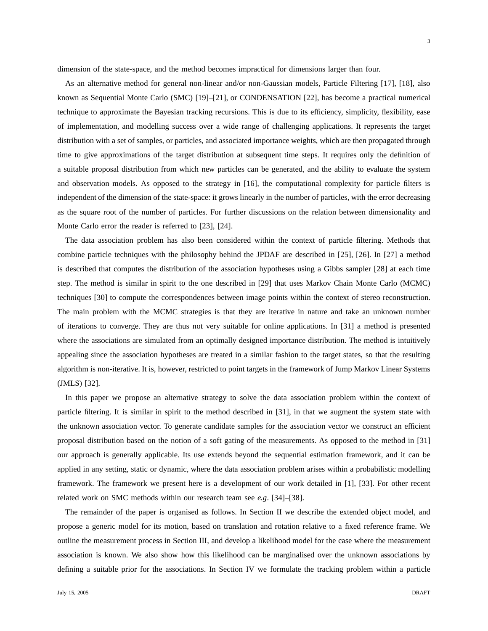dimension of the state-space, and the method becomes impractical for dimensions larger than four.

As an alternative method for general non-linear and/or non-Gaussian models, Particle Filtering [17], [18], also known as Sequential Monte Carlo (SMC) [19]–[21], or CONDENSATION [22], has become a practical numerical technique to approximate the Bayesian tracking recursions. This is due to its efficiency, simplicity, flexibility, ease of implementation, and modelling success over a wide range of challenging applications. It represents the target distribution with a set of samples, or particles, and associated importance weights, which are then propagated through time to give approximations of the target distribution at subsequent time steps. It requires only the definition of a suitable proposal distribution from which new particles can be generated, and the ability to evaluate the system and observation models. As opposed to the strategy in [16], the computational complexity for particle filters is independent of the dimension of the state-space: it grows linearly in the number of particles, with the error decreasing as the square root of the number of particles. For further discussions on the relation between dimensionality and Monte Carlo error the reader is referred to [23], [24].

The data association problem has also been considered within the context of particle filtering. Methods that combine particle techniques with the philosophy behind the JPDAF are described in [25], [26]. In [27] a method is described that computes the distribution of the association hypotheses using a Gibbs sampler [28] at each time step. The method is similar in spirit to the one described in [29] that uses Markov Chain Monte Carlo (MCMC) techniques [30] to compute the correspondences between image points within the context of stereo reconstruction. The main problem with the MCMC strategies is that they are iterative in nature and take an unknown number of iterations to converge. They are thus not very suitable for online applications. In [31] a method is presented where the associations are simulated from an optimally designed importance distribution. The method is intuitively appealing since the association hypotheses are treated in a similar fashion to the target states, so that the resulting algorithm is non-iterative. It is, however, restricted to point targets in the framework of Jump Markov Linear Systems (JMLS) [32].

In this paper we propose an alternative strategy to solve the data association problem within the context of particle filtering. It is similar in spirit to the method described in [31], in that we augment the system state with the unknown association vector. To generate candidate samples for the association vector we construct an efficient proposal distribution based on the notion of a soft gating of the measurements. As opposed to the method in [31] our approach is generally applicable. Its use extends beyond the sequential estimation framework, and it can be applied in any setting, static or dynamic, where the data association problem arises within a probabilistic modelling framework. The framework we present here is a development of our work detailed in [1], [33]. For other recent related work on SMC methods within our research team see *e.g*. [34]–[38].

The remainder of the paper is organised as follows. In Section II we describe the extended object model, and propose a generic model for its motion, based on translation and rotation relative to a fixed reference frame. We outline the measurement process in Section III, and develop a likelihood model for the case where the measurement association is known. We also show how this likelihood can be marginalised over the unknown associations by defining a suitable prior for the associations. In Section IV we formulate the tracking problem within a particle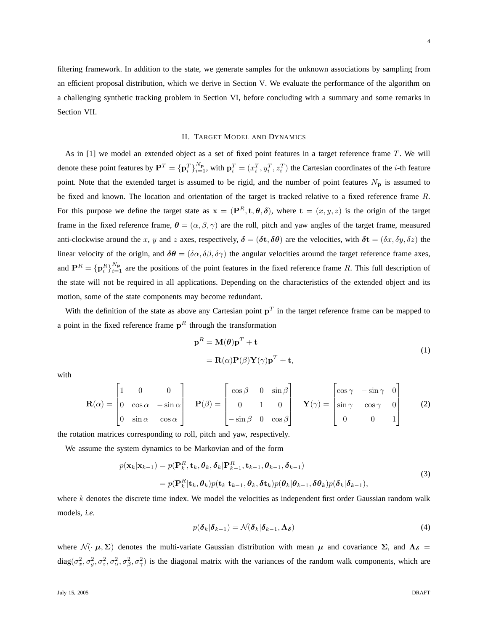filtering framework. In addition to the state, we generate samples for the unknown associations by sampling from an efficient proposal distribution, which we derive in Section V. We evaluate the performance of the algorithm on a challenging synthetic tracking problem in Section VI, before concluding with a summary and some remarks in Section VII.

#### II. TARGET MODEL AND DYNAMICS

As in  $[1]$  we model an extended object as a set of fixed point features in a target reference frame  $T$ . We will denote these point features by  $\mathbf{P}^T = \{\mathbf{p}_i^T\}_{i=1}^{N_{\mathbf{p}}}$ , with  $\mathbf{p}_i^T = (x_i^T, y_i^T, z_i^T)$  the Cartesian coordinates of the *i*-th feature point. Note that the extended target is assumed to be rigid, and the number of point features  $N_p$  is assumed to be fixed and known. The location and orientation of the target is tracked relative to a fixed reference frame R. For this purpose we define the target state as  $x = (\mathbf{P}^R, \mathbf{t}, \theta, \delta)$ , where  $\mathbf{t} = (x, y, z)$  is the origin of the target frame in the fixed reference frame,  $\theta = (\alpha, \beta, \gamma)$  are the roll, pitch and yaw angles of the target frame, measured anti-clockwise around the x, y and z axes, respectively,  $\delta = (\delta t, \delta \theta)$  are the velocities, with  $\delta t = (\delta x, \delta y, \delta z)$  the linear velocity of the origin, and  $\delta\theta = (\delta\alpha, \delta\beta, \delta\gamma)$  the angular velocities around the target reference frame axes, and  $\mathbf{P}^R = {\{\mathbf{p}^R_i\}}_{i=1}^{N_{\mathbf{p}}}$  are the positions of the point features in the fixed reference frame R. This full description of the state will not be required in all applications. Depending on the characteristics of the extended object and its motion, some of the state components may become redundant.

With the definition of the state as above any Cartesian point  $p<sup>T</sup>$  in the target reference frame can be mapped to a point in the fixed reference frame  $p<sup>R</sup>$  through the transformation

$$
\mathbf{p}^{R} = \mathbf{M}(\boldsymbol{\theta})\mathbf{p}^{T} + \mathbf{t}
$$
  
=  $\mathbf{R}(\alpha)\mathbf{P}(\beta)\mathbf{Y}(\gamma)\mathbf{p}^{T} + \mathbf{t},$  (1)

with

$$
\mathbf{R}(\alpha) = \begin{bmatrix} 1 & 0 & 0 \\ 0 & \cos \alpha & -\sin \alpha \\ 0 & \sin \alpha & \cos \alpha \end{bmatrix} \quad \mathbf{P}(\beta) = \begin{bmatrix} \cos \beta & 0 & \sin \beta \\ 0 & 1 & 0 \\ -\sin \beta & 0 & \cos \beta \end{bmatrix} \quad \mathbf{Y}(\gamma) = \begin{bmatrix} \cos \gamma & -\sin \gamma & 0 \\ \sin \gamma & \cos \gamma & 0 \\ 0 & 0 & 1 \end{bmatrix}
$$
(2)

the rotation matrices corresponding to roll, pitch and yaw, respectively.

We assume the system dynamics to be Markovian and of the form

$$
p(\mathbf{x}_k|\mathbf{x}_{k-1}) = p(\mathbf{P}_k^R, \mathbf{t}_k, \boldsymbol{\theta}_k, \boldsymbol{\delta}_k | \mathbf{P}_{k-1}^R, \mathbf{t}_{k-1}, \boldsymbol{\theta}_{k-1}, \boldsymbol{\delta}_{k-1})
$$
  
=  $p(\mathbf{P}_k^R | \mathbf{t}_k, \boldsymbol{\theta}_k) p(\mathbf{t}_k | \mathbf{t}_{k-1}, \boldsymbol{\theta}_k, \boldsymbol{\delta} \mathbf{t}_k) p(\boldsymbol{\theta}_k | \boldsymbol{\theta}_{k-1}, \boldsymbol{\delta} \boldsymbol{\theta}_k) p(\boldsymbol{\delta}_k | \boldsymbol{\delta}_{k-1}),$  (3)

where  $k$  denotes the discrete time index. We model the velocities as independent first order Gaussian random walk models, *i.e*.

$$
p(\boldsymbol{\delta}_k | \boldsymbol{\delta}_{k-1}) = \mathcal{N}(\boldsymbol{\delta}_k | \boldsymbol{\delta}_{k-1}, \boldsymbol{\Lambda}_{\boldsymbol{\delta}})
$$
\n(4)

where  $\mathcal{N}(\cdot|\mu, \Sigma)$  denotes the multi-variate Gaussian distribution with mean  $\mu$  and covariance  $\Sigma$ , and  $\Lambda_{\delta}$  $diag(\sigma_x^2, \sigma_y^2, \sigma_z^2, \sigma_\alpha^2, \sigma_\beta^2, \sigma_\gamma^2)$  is the diagonal matrix with the variances of the random walk components, which are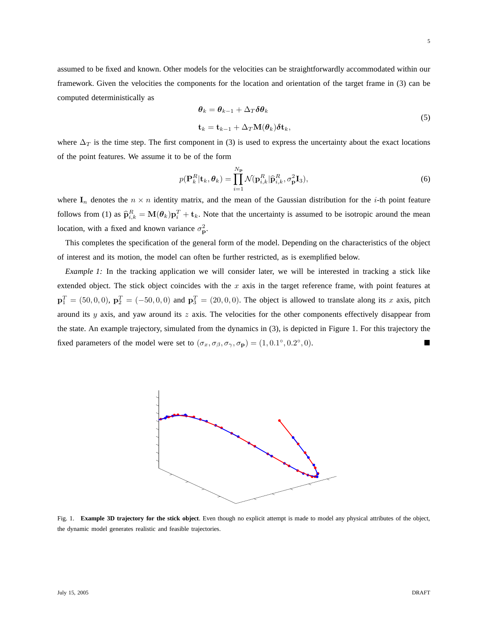5

assumed to be fixed and known. Other models for the velocities can be straightforwardly accommodated within our framework. Given the velocities the components for the location and orientation of the target frame in (3) can be computed deterministically as

$$
\theta_k = \theta_{k-1} + \Delta_T \delta \theta_k
$$
  
\n
$$
\mathbf{t}_k = \mathbf{t}_{k-1} + \Delta_T \mathbf{M}(\theta_k) \delta \mathbf{t}_k,
$$
\n(5)

where  $\Delta_T$  is the time step. The first component in (3) is used to express the uncertainty about the exact locations of the point features. We assume it to be of the form

$$
p(\mathbf{P}_k^R|\mathbf{t}_k, \boldsymbol{\theta}_k) = \prod_{i=1}^{N_\mathbf{p}} \mathcal{N}(\mathbf{p}_{i,k}^R | \widehat{\mathbf{p}}_{i,k}^R, \sigma_\mathbf{p}^2 \mathbf{I}_3),
$$
\n(6)

where  $I_n$  denotes the  $n \times n$  identity matrix, and the mean of the Gaussian distribution for the *i*-th point feature follows from (1) as  $\hat{\mathbf{p}}_{i,k}^R = \mathbf{M}(\theta_k) \mathbf{p}_i^T + \mathbf{t}_k$ . Note that the uncertainty is assumed to be isotropic around the mean location, with a fixed and known variance  $\sigma_{\mathbf{p}}^2$ .

This completes the specification of the general form of the model. Depending on the characteristics of the object of interest and its motion, the model can often be further restricted, as is exemplified below.

*Example 1:* In the tracking application we will consider later, we will be interested in tracking a stick like extended object. The stick object coincides with the  $x$  axis in the target reference frame, with point features at  $\mathbf{p}_1^T = (50, 0, 0), \, \mathbf{p}_2^T = (-50, 0, 0)$  and  $\mathbf{p}_3^T = (20, 0, 0)$ . The object is allowed to translate along its x axis, pitch around its  $y$  axis, and yaw around its  $z$  axis. The velocities for the other components effectively disappear from the state. An example trajectory, simulated from the dynamics in (3), is depicted in Figure 1. For this trajectory the fixed parameters of the model were set to  $(\sigma_x, \sigma_\beta, \sigma_\gamma, \sigma_\mathbf{p}) = (1, 0.1^\circ, 0.2^\circ)$ , 0).



Fig. 1. **Example 3D trajectory for the stick object**. Even though no explicit attempt is made to model any physical attributes of the object, the dynamic model generates realistic and feasible trajectories.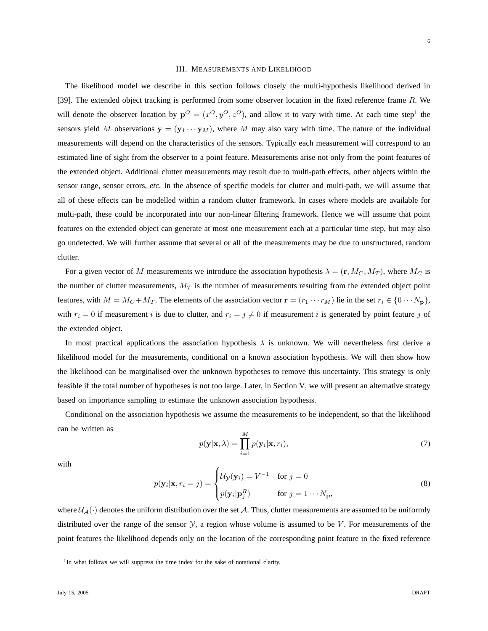#### III. MEASUREMENTS AND LIKELIHOOD

The likelihood model we describe in this section follows closely the multi-hypothesis likelihood derived in [39]. The extended object tracking is performed from some observer location in the fixed reference frame R. We will denote the observer location by  $p^O = (x^O, y^O, z^O)$ , and allow it to vary with time. At each time step<sup>1</sup> the sensors yield M observations  $y = (y_1 \cdots y_M)$ , where M may also vary with time. The nature of the individual measurements will depend on the characteristics of the sensors. Typically each measurement will correspond to an estimated line of sight from the observer to a point feature. Measurements arise not only from the point features of the extended object. Additional clutter measurements may result due to multi-path effects, other objects within the sensor range, sensor errors, *etc*. In the absence of specific models for clutter and multi-path, we will assume that all of these effects can be modelled within a random clutter framework. In cases where models are available for multi-path, these could be incorporated into our non-linear filtering framework. Hence we will assume that point features on the extended object can generate at most one measurement each at a particular time step, but may also go undetected. We will further assume that several or all of the measurements may be due to unstructured, random clutter.

For a given vector of M measurements we introduce the association hypothesis  $\lambda = (\mathbf{r}, M_C, M_T)$ , where  $M_C$  is the number of clutter measurements,  $M_T$  is the number of measurements resulting from the extended object point features, with  $M = M_C + M_T$ . The elements of the association vector  $\mathbf{r} = (r_1 \cdots r_M)$  lie in the set  $r_i \in \{0 \cdots N_p\}$ , with  $r_i = 0$  if measurement i is due to clutter, and  $r_i = j \neq 0$  if measurement i is generated by point feature j of the extended object.

In most practical applications the association hypothesis  $\lambda$  is unknown. We will nevertheless first derive a likelihood model for the measurements, conditional on a known association hypothesis. We will then show how the likelihood can be marginalised over the unknown hypotheses to remove this uncertainty. This strategy is only feasible if the total number of hypotheses is not too large. Later, in Section V, we will present an alternative strategy based on importance sampling to estimate the unknown association hypothesis.

Conditional on the association hypothesis we assume the measurements to be independent, so that the likelihood can be written as

$$
p(\mathbf{y}|\mathbf{x}, \lambda) = \prod_{i=1}^{M} p(\mathbf{y}_i|\mathbf{x}, r_i),
$$
\n(7)

with

$$
p(\mathbf{y}_i|\mathbf{x}, r_i = j) = \begin{cases} \mathcal{U}_{\mathcal{Y}}(\mathbf{y}_i) = V^{-1} & \text{for } j = 0\\ p(\mathbf{y}_i|\mathbf{p}_j^R) & \text{for } j = 1 \cdots N_{\mathbf{p}}, \end{cases}
$$
(8)

where  $U_A(\cdot)$  denotes the uniform distribution over the set A. Thus, clutter measurements are assumed to be uniformly distributed over the range of the sensor  $Y$ , a region whose volume is assumed to be  $V$ . For measurements of the point features the likelihood depends only on the location of the corresponding point feature in the fixed reference

<sup>&</sup>lt;sup>1</sup>In what follows we will suppress the time index for the sake of notational clarity.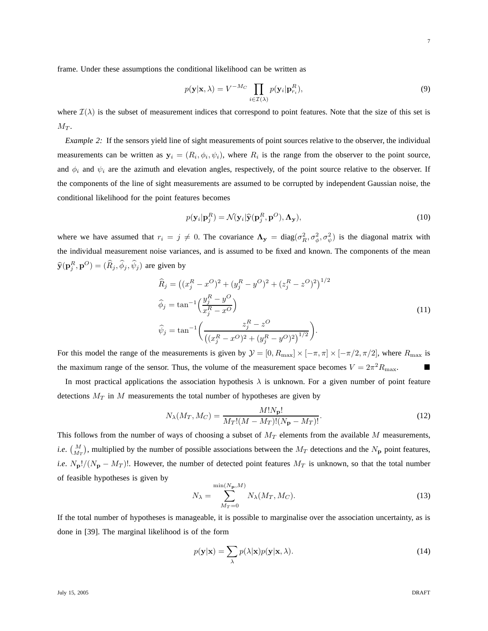frame. Under these assumptions the conditional likelihood can be written as

$$
p(\mathbf{y}|\mathbf{x}, \lambda) = V^{-Mc} \prod_{i \in \mathcal{I}(\lambda)} p(\mathbf{y}_i | \mathbf{p}_{r_i}^R),
$$
\n(9)

where  $\mathcal{I}(\lambda)$  is the subset of measurement indices that correspond to point features. Note that the size of this set is  $M_T$ .

*Example 2:* If the sensors yield line of sight measurements of point sources relative to the observer, the individual measurements can be written as  $y_i = (R_i, \phi_i, \psi_i)$ , where  $R_i$  is the range from the observer to the point source, and  $\phi_i$  and  $\psi_i$  are the azimuth and elevation angles, respectively, of the point source relative to the observer. If the components of the line of sight measurements are assumed to be corrupted by independent Gaussian noise, the conditional likelihood for the point features becomes

$$
p(\mathbf{y}_i|\mathbf{p}_j^R) = \mathcal{N}(\mathbf{y}_i|\hat{\mathbf{y}}(\mathbf{p}_j^R, \mathbf{p}^O), \mathbf{\Lambda}_{\mathbf{y}}),
$$
\n(10)

where we have assumed that  $r_i = j \neq 0$ . The covariance  $\Lambda_{y} = \text{diag}(\sigma_R^2, \sigma_{\phi}^2, \sigma_{\psi}^2)$  is the diagonal matrix with the individual measurement noise variances, and is assumed to be fixed and known. The components of the mean  $\widehat{\mathbf{y}}(\mathbf{p}_j^R, \mathbf{p}^O) = (\widehat{R}_j, \widehat{\phi}_j, \widehat{\psi}_j)$  are given by

$$
\widehat{R}_j = ((x_j^R - x^O)^2 + (y_j^R - y^O)^2 + (z_j^R - z^O)^2)^{1/2}
$$
\n
$$
\widehat{\phi}_j = \tan^{-1}\left(\frac{y_j^R - y^O}{x_j^R - x^O}\right)
$$
\n
$$
\widehat{\psi}_j = \tan^{-1}\left(\frac{z_j^R - z^O}{((x_j^R - x^O)^2 + (y_j^R - y^O)^2)^{1/2}}\right).
$$
\n(11)

For this model the range of the measurements is given by  $\mathcal{Y} = [0, R_{\text{max}}] \times [-\pi, \pi] \times [-\pi/2, \pi/2]$ , where  $R_{\text{max}}$  is the maximum range of the sensor. Thus, the volume of the measurement space becomes  $V = 2\pi^2 R_{\text{max}}$ .

In most practical applications the association hypothesis  $\lambda$  is unknown. For a given number of point feature detections  $M_T$  in M measurements the total number of hypotheses are given by

$$
N_{\lambda}(M_T, M_C) = \frac{M! N_{\mathbf{p}}!}{M_T! (M - M_T)! (N_{\mathbf{p}} - M_T)!}.
$$
\n(12)

This follows from the number of ways of choosing a subset of  $M_T$  elements from the available M measurements, *i.e.*  $\binom{M}{M_T}$ , multiplied by the number of possible associations between the  $M_T$  detections and the  $N_p$  point features, *i.e.*  $N_{\rm p}!/(N_{\rm p} - M_T)!$ . However, the number of detected point features  $M_T$  is unknown, so that the total number of feasible hypotheses is given by

$$
N_{\lambda} = \sum_{M_T=0}^{\min(N_{\mathbf{p}}, M)} N_{\lambda}(M_T, M_C).
$$
 (13)

If the total number of hypotheses is manageable, it is possible to marginalise over the association uncertainty, as is done in [39]. The marginal likelihood is of the form

$$
p(\mathbf{y}|\mathbf{x}) = \sum_{\lambda} p(\lambda|\mathbf{x})p(\mathbf{y}|\mathbf{x}, \lambda).
$$
 (14)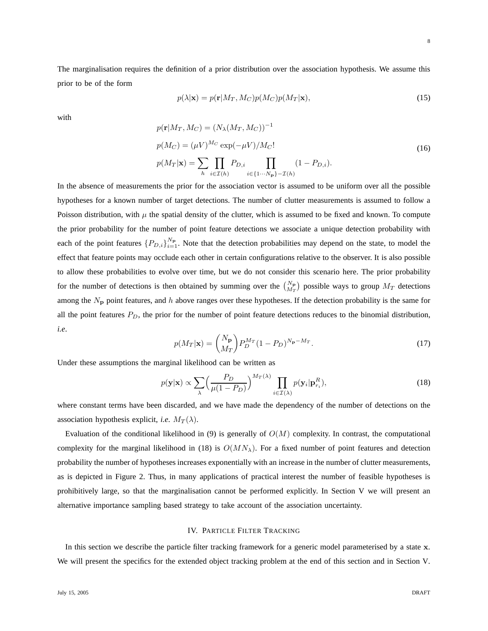The marginalisation requires the definition of a prior distribution over the association hypothesis. We assume this prior to be of the form

$$
p(\lambda|\mathbf{x}) = p(\mathbf{r}|M_T, M_C)p(M_C)p(M_T|\mathbf{x}),
$$
\n(15)

with

$$
p(\mathbf{r}|M_T, M_C) = (N_{\lambda}(M_T, M_C))^{-1}
$$
  
\n
$$
p(M_C) = (\mu V)^{M_C} \exp(-\mu V)/M_C!
$$
  
\n
$$
p(M_T|\mathbf{x}) = \sum_{h} \prod_{i \in \mathcal{I}(h)} P_{D,i} \prod_{i \in \{1 \cdots N_P\} - \mathcal{I}(h)} (1 - P_{D,i}).
$$
\n(16)

In the absence of measurements the prior for the association vector is assumed to be uniform over all the possible hypotheses for a known number of target detections. The number of clutter measurements is assumed to follow a Poisson distribution, with  $\mu$  the spatial density of the clutter, which is assumed to be fixed and known. To compute the prior probability for the number of point feature detections we associate a unique detection probability with each of the point features  ${P_{D,i}}_{i=1}^{N_p}$ . Note that the detection probabilities may depend on the state, to model the effect that feature points may occlude each other in certain configurations relative to the observer. It is also possible to allow these probabilities to evolve over time, but we do not consider this scenario here. The prior probability for the number of detections is then obtained by summing over the  $N_P \choose M_T$  possible ways to group  $M_T$  detections among the  $N_p$  point features, and h above ranges over these hypotheses. If the detection probability is the same for all the point features  $P_D$ , the prior for the number of point feature detections reduces to the binomial distribution, *i.e*.

$$
p(M_T|\mathbf{x}) = {N_\mathbf{p} \choose M_T} P_D^{M_T} (1 - P_D)^{N_\mathbf{p} - M_T}.
$$
\n(17)

Under these assumptions the marginal likelihood can be written as

$$
p(\mathbf{y}|\mathbf{x}) \propto \sum_{\lambda} \left(\frac{P_D}{\mu(1 - P_D)}\right)^{M_T(\lambda)} \prod_{i \in \mathcal{I}(\lambda)} p(\mathbf{y}_i | \mathbf{p}_{r_i}^R), \tag{18}
$$

where constant terms have been discarded, and we have made the dependency of the number of detections on the association hypothesis explicit, *i.e.*  $M_T(\lambda)$ .

Evaluation of the conditional likelihood in (9) is generally of  $O(M)$  complexity. In contrast, the computational complexity for the marginal likelihood in (18) is  $O(MN<sub>\lambda</sub>)$ . For a fixed number of point features and detection probability the number of hypotheses increases exponentially with an increase in the number of clutter measurements, as is depicted in Figure 2. Thus, in many applications of practical interest the number of feasible hypotheses is prohibitively large, so that the marginalisation cannot be performed explicitly. In Section V we will present an alternative importance sampling based strategy to take account of the association uncertainty.

## IV. PARTICLE FILTER TRACKING

In this section we describe the particle filter tracking framework for a generic model parameterised by a state x. We will present the specifics for the extended object tracking problem at the end of this section and in Section V.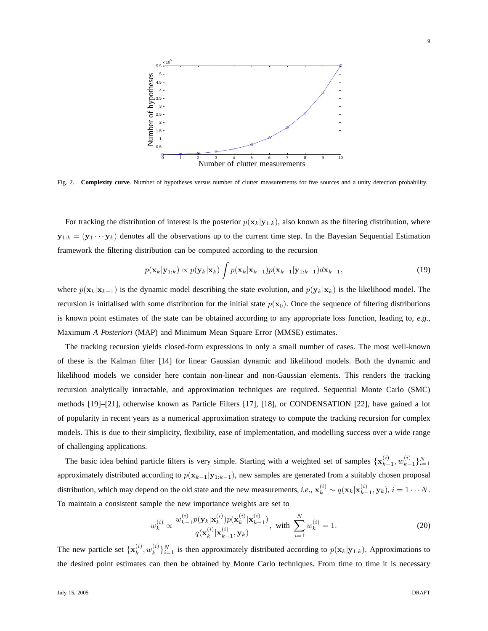

Fig. 2. **Complexity curve**. Number of hypotheses versus number of clutter measurements for five sources and a unity detection probability.

For tracking the distribution of interest is the posterior  $p(\mathbf{x}_k|\mathbf{y}_{1:k})$ , also known as the filtering distribution, where  $y_{1:k} = (y_1 \cdots y_k)$  denotes all the observations up to the current time step. In the Bayesian Sequential Estimation framework the filtering distribution can be computed according to the recursion

$$
p(\mathbf{x}_k|\mathbf{y}_{1:k}) \propto p(\mathbf{y}_k|\mathbf{x}_k) \int p(\mathbf{x}_k|\mathbf{x}_{k-1}) p(\mathbf{x}_{k-1}|\mathbf{y}_{1:k-1}) d\mathbf{x}_{k-1},
$$
\n(19)

where  $p(\mathbf{x}_k|\mathbf{x}_{k-1})$  is the dynamic model describing the state evolution, and  $p(\mathbf{y}_k|\mathbf{x}_k)$  is the likelihood model. The recursion is initialised with some distribution for the initial state  $p(x_0)$ . Once the sequence of filtering distributions is known point estimates of the state can be obtained according to any appropriate loss function, leading to, *e.g*., Maximum *A Posteriori* (MAP) and Minimum Mean Square Error (MMSE) estimates.

The tracking recursion yields closed-form expressions in only a small number of cases. The most well-known of these is the Kalman filter [14] for linear Gaussian dynamic and likelihood models. Both the dynamic and likelihood models we consider here contain non-linear and non-Gaussian elements. This renders the tracking recursion analytically intractable, and approximation techniques are required. Sequential Monte Carlo (SMC) methods [19]–[21], otherwise known as Particle Filters [17], [18], or CONDENSATION [22], have gained a lot of popularity in recent years as a numerical approximation strategy to compute the tracking recursion for complex models. This is due to their simplicity, flexibility, ease of implementation, and modelling success over a wide range of challenging applications.

The basic idea behind particle filters is very simple. Starting with a weighted set of samples  $\{x_k^{(i)}\}$  $_{k-1}^{(i)}, w_{k-1}^{(i)}$  ${}_{k-1}^{(i)}\}_{i=1}^N$ approximately distributed according to  $p(\mathbf{x}_{k-1}|\mathbf{y}_{1:k-1})$ , new samples are generated from a suitably chosen proposal distribution, which may depend on the old state and the new measurements, *i.e.*,  $\mathbf{x}_k^{(i)} \sim q(\mathbf{x}_k|\mathbf{x}_{k-1}^{(i)})$  $_{k-1}^{(i)}$ ,  $\mathbf{y}_k$ ),  $i = 1 \cdots N$ . To maintain a consistent sample the new importance weights are set to

$$
w_k^{(i)} \propto \frac{w_{k-1}^{(i)} p(\mathbf{y}_k | \mathbf{x}_k^{(i)}) p(\mathbf{x}_k^{(i)} | \mathbf{x}_{k-1}^{(i)})}{q(\mathbf{x}_k^{(i)} | \mathbf{x}_{k-1}^{(i)}, \mathbf{y}_k)}, \text{ with } \sum_{i=1}^N w_k^{(i)} = 1. \tag{20}
$$

The new particle set  $\{x_k^{(i)}\}$  $_k^{(i)}, w_k^{(i)}$  ${k \choose k}_{i=1}^N$  is then approximately distributed according to  $p(\mathbf{x}_k|\mathbf{y}_{1:k})$ . Approximations to the desired point estimates can then be obtained by Monte Carlo techniques. From time to time it is necessary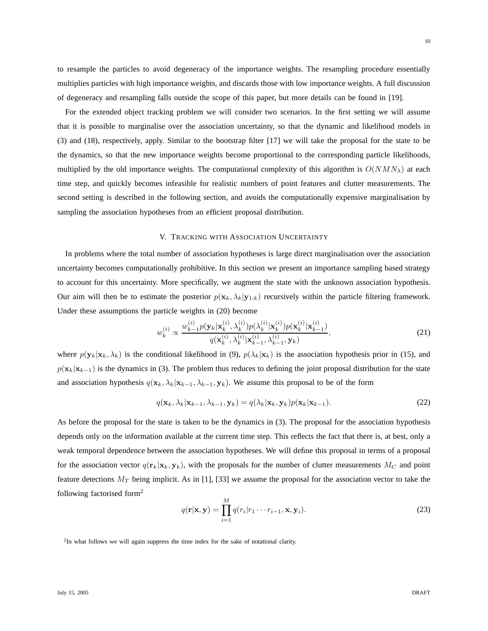to resample the particles to avoid degeneracy of the importance weights. The resampling procedure essentially multiplies particles with high importance weights, and discards those with low importance weights. A full discussion of degeneracy and resampling falls outside the scope of this paper, but more details can be found in [19].

For the extended object tracking problem we will consider two scenarios. In the first setting we will assume that it is possible to marginalise over the association uncertainty, so that the dynamic and likelihood models in (3) and (18), respectively, apply. Similar to the bootstrap filter [17] we will take the proposal for the state to be the dynamics, so that the new importance weights become proportional to the corresponding particle likelihoods, multiplied by the old importance weights. The computational complexity of this algorithm is  $O(NMN<sub>\lambda</sub>)$  at each time step, and quickly becomes infeasible for realistic numbers of point features and clutter measurements. The second setting is described in the following section, and avoids the computationally expensive marginalisation by sampling the association hypotheses from an efficient proposal distribution.

# V. TRACKING WITH ASSOCIATION UNCERTAINTY

In problems where the total number of association hypotheses is large direct marginalisation over the association uncertainty becomes computationally prohibitive. In this section we present an importance sampling based strategy to account for this uncertainty. More specifically, we augment the state with the unknown association hypothesis. Our aim will then be to estimate the posterior  $p(\mathbf{x}_k, \lambda_k | \mathbf{y}_{1:k})$  recursively within the particle filtering framework. Under these assumptions the particle weights in (20) become

$$
w_k^{(i)} \propto \frac{w_{k-1}^{(i)} p(\mathbf{y}_k | \mathbf{x}_k^{(i)}, \lambda_k^{(i)}) p(\lambda_k^{(i)} | \mathbf{x}_k^{(i)}) p(\mathbf{x}_k^{(i)} | \mathbf{x}_{k-1}^{(i)})}{q(\mathbf{x}_k^{(i)}, \lambda_k^{(i)} | \mathbf{x}_{k-1}^{(i)}, \lambda_{k-1}^{(i)}, \mathbf{y}_k)},
$$
\n(21)

where  $p(\mathbf{y}_k|\mathbf{x}_k, \lambda_k)$  is the conditional likelihood in (9),  $p(\lambda_k|\mathbf{x}_k)$  is the association hypothesis prior in (15), and  $p(\mathbf{x}_k|\mathbf{x}_{k-1})$  is the dynamics in (3). The problem thus reduces to defining the joint proposal distribution for the state and association hypothesis  $q(\mathbf{x}_k, \lambda_k | \mathbf{x}_{k-1}, \lambda_{k-1}, \mathbf{y}_k)$ . We assume this proposal to be of the form

$$
q(\mathbf{x}_k, \lambda_k | \mathbf{x}_{k-1}, \lambda_{k-1}, \mathbf{y}_k) = q(\lambda_k | \mathbf{x}_k, \mathbf{y}_k) p(\mathbf{x}_k | \mathbf{x}_{k-1}).
$$
\n(22)

As before the proposal for the state is taken to be the dynamics in (3). The proposal for the association hypothesis depends only on the information available at the current time step. This reflects the fact that there is, at best, only a weak temporal dependence between the association hypotheses. We will define this proposal in terms of a proposal for the association vector  $q(\mathbf{r}_k|\mathbf{x}_k, \mathbf{y}_k)$ , with the proposals for the number of clutter measurements  $M_C$  and point feature detections  $M_T$  being implicit. As in [1], [33] we assume the proposal for the association vector to take the following factorised form<sup>2</sup>

$$
q(\mathbf{r}|\mathbf{x}, \mathbf{y}) = \prod_{i=1}^{M} q(r_i|r_1 \cdots r_{i-1}, \mathbf{x}, \mathbf{y}_i).
$$
 (23)

<sup>2</sup>In what follows we will again suppress the time index for the sake of notational clarity.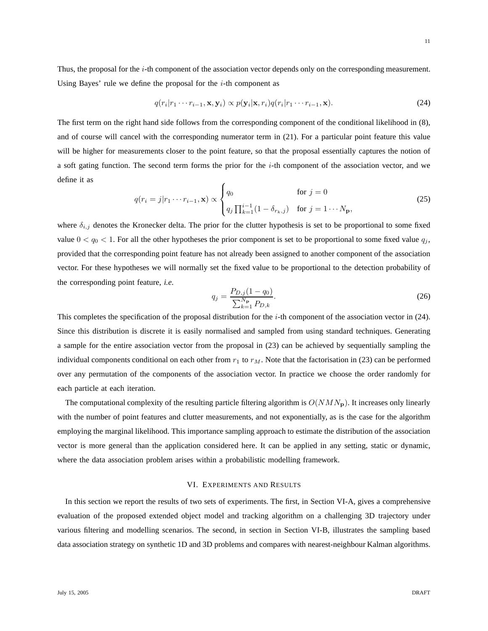11

Thus, the proposal for the  $i$ -th component of the association vector depends only on the corresponding measurement. Using Bayes' rule we define the proposal for the  $i$ -th component as

$$
q(r_i|r_1\cdots r_{i-1}, \mathbf{x}, \mathbf{y}_i) \propto p(\mathbf{y}_i|\mathbf{x}, r_i)q(r_i|r_1\cdots r_{i-1}, \mathbf{x}).
$$
\n(24)

The first term on the right hand side follows from the corresponding component of the conditional likelihood in (8), and of course will cancel with the corresponding numerator term in (21). For a particular point feature this value will be higher for measurements closer to the point feature, so that the proposal essentially captures the notion of a soft gating function. The second term forms the prior for the  $i$ -th component of the association vector, and we define it as

$$
q(r_i = j | r_1 \cdots r_{i-1}, \mathbf{x}) \propto \begin{cases} q_0 & \text{for } j = 0\\ q_j \prod_{k=1}^{i-1} (1 - \delta_{r_k, j}) & \text{for } j = 1 \cdots N_{\mathbf{p}}, \end{cases}
$$
(25)

where  $\delta_{i,j}$  denotes the Kronecker delta. The prior for the clutter hypothesis is set to be proportional to some fixed value  $0 < q_0 < 1$ . For all the other hypotheses the prior component is set to be proportional to some fixed value  $q_j$ , provided that the corresponding point feature has not already been assigned to another component of the association vector. For these hypotheses we will normally set the fixed value to be proportional to the detection probability of the corresponding point feature, *i.e*.

$$
q_j = \frac{P_{D,j}(1 - q_0)}{\sum_{k=1}^{N_{\mathbf{p}}} P_{D,k}}.\tag{26}
$$

This completes the specification of the proposal distribution for the i-th component of the association vector in (24). Since this distribution is discrete it is easily normalised and sampled from using standard techniques. Generating a sample for the entire association vector from the proposal in (23) can be achieved by sequentially sampling the individual components conditional on each other from  $r_1$  to  $r_M$ . Note that the factorisation in (23) can be performed over any permutation of the components of the association vector. In practice we choose the order randomly for each particle at each iteration.

The computational complexity of the resulting particle filtering algorithm is  $O(NMN<sub>p</sub>)$ . It increases only linearly with the number of point features and clutter measurements, and not exponentially, as is the case for the algorithm employing the marginal likelihood. This importance sampling approach to estimate the distribution of the association vector is more general than the application considered here. It can be applied in any setting, static or dynamic, where the data association problem arises within a probabilistic modelling framework.

### VI. EXPERIMENTS AND RESULTS

In this section we report the results of two sets of experiments. The first, in Section VI-A, gives a comprehensive evaluation of the proposed extended object model and tracking algorithm on a challenging 3D trajectory under various filtering and modelling scenarios. The second, in section in Section VI-B, illustrates the sampling based data association strategy on synthetic 1D and 3D problems and compares with nearest-neighbour Kalman algorithms.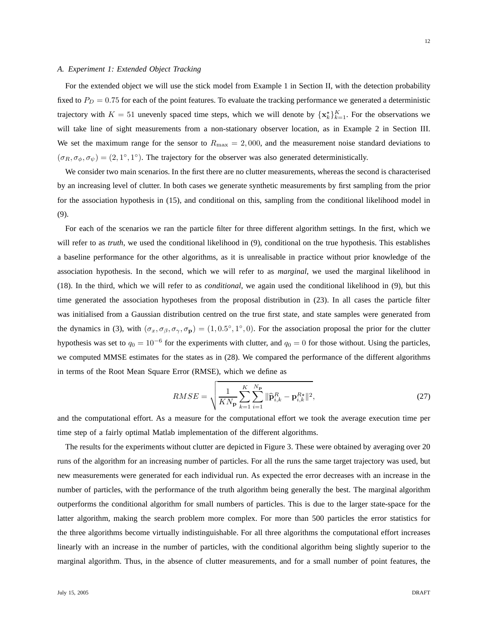#### *A. Experiment 1: Extended Object Tracking*

For the extended object we will use the stick model from Example 1 in Section II, with the detection probability fixed to  $P_D = 0.75$  for each of the point features. To evaluate the tracking performance we generated a deterministic trajectory with  $K = 51$  unevenly spaced time steps, which we will denote by  $\{x_k^*\}_{k=1}^K$ . For the observations we will take line of sight measurements from a non-stationary observer location, as in Example 2 in Section III. We set the maximum range for the sensor to  $R_{\text{max}} = 2,000$ , and the measurement noise standard deviations to  $(\sigma_R, \sigma_\phi, \sigma_\psi) = (2, 1^\circ, 1^\circ)$ . The trajectory for the observer was also generated deterministically.

We consider two main scenarios. In the first there are no clutter measurements, whereas the second is characterised by an increasing level of clutter. In both cases we generate synthetic measurements by first sampling from the prior for the association hypothesis in (15), and conditional on this, sampling from the conditional likelihood model in (9).

For each of the scenarios we ran the particle filter for three different algorithm settings. In the first, which we will refer to as *truth*, we used the conditional likelihood in (9), conditional on the true hypothesis. This establishes a baseline performance for the other algorithms, as it is unrealisable in practice without prior knowledge of the association hypothesis. In the second, which we will refer to as *marginal*, we used the marginal likelihood in (18). In the third, which we will refer to as *conditional*, we again used the conditional likelihood in (9), but this time generated the association hypotheses from the proposal distribution in (23). In all cases the particle filter was initialised from a Gaussian distribution centred on the true first state, and state samples were generated from the dynamics in (3), with  $(\sigma_x, \sigma_\beta, \sigma_\gamma, \sigma_\mathbf{p}) = (1, 0.5^\circ, 1^\circ, 0)$ . For the association proposal the prior for the clutter hypothesis was set to  $q_0 = 10^{-6}$  for the experiments with clutter, and  $q_0 = 0$  for those without. Using the particles, we computed MMSE estimates for the states as in (28). We compared the performance of the different algorithms in terms of the Root Mean Square Error (RMSE), which we define as

$$
RMSE = \sqrt{\frac{1}{KN_{\mathbf{p}}}\sum_{k=1}^{K}\sum_{i=1}^{N_{\mathbf{p}}} \|\hat{\mathbf{p}}_{i,k}^{R} - \mathbf{p}_{i,k}^{R*}\|^{2}},
$$
\n(27)

and the computational effort. As a measure for the computational effort we took the average execution time per time step of a fairly optimal Matlab implementation of the different algorithms.

The results for the experiments without clutter are depicted in Figure 3. These were obtained by averaging over 20 runs of the algorithm for an increasing number of particles. For all the runs the same target trajectory was used, but new measurements were generated for each individual run. As expected the error decreases with an increase in the number of particles, with the performance of the truth algorithm being generally the best. The marginal algorithm outperforms the conditional algorithm for small numbers of particles. This is due to the larger state-space for the latter algorithm, making the search problem more complex. For more than 500 particles the error statistics for the three algorithms become virtually indistinguishable. For all three algorithms the computational effort increases linearly with an increase in the number of particles, with the conditional algorithm being slightly superior to the marginal algorithm. Thus, in the absence of clutter measurements, and for a small number of point features, the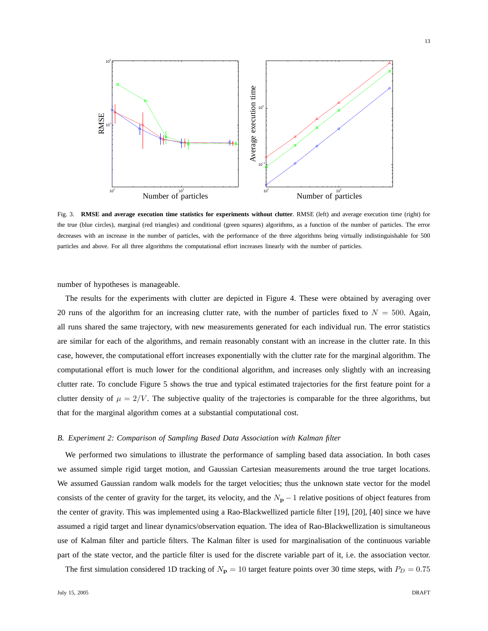

Fig. 3. **RMSE and average execution time statistics for experiments without clutter**. RMSE (left) and average execution time (right) for the true (blue circles), marginal (red triangles) and conditional (green squares) algorithms, as a function of the number of particles. The error decreases with an increase in the number of particles, with the performance of the three algorithms being virtually indistinguishable for 500 particles and above. For all three algorithms the computational effort increases linearly with the number of particles.

number of hypotheses is manageable.

The results for the experiments with clutter are depicted in Figure 4. These were obtained by averaging over 20 runs of the algorithm for an increasing clutter rate, with the number of particles fixed to  $N = 500$ . Again, all runs shared the same trajectory, with new measurements generated for each individual run. The error statistics are similar for each of the algorithms, and remain reasonably constant with an increase in the clutter rate. In this case, however, the computational effort increases exponentially with the clutter rate for the marginal algorithm. The computational effort is much lower for the conditional algorithm, and increases only slightly with an increasing clutter rate. To conclude Figure 5 shows the true and typical estimated trajectories for the first feature point for a clutter density of  $\mu = 2/V$ . The subjective quality of the trajectories is comparable for the three algorithms, but that for the marginal algorithm comes at a substantial computational cost.

## *B. Experiment 2: Comparison of Sampling Based Data Association with Kalman filter*

We performed two simulations to illustrate the performance of sampling based data association. In both cases we assumed simple rigid target motion, and Gaussian Cartesian measurements around the true target locations. We assumed Gaussian random walk models for the target velocities; thus the unknown state vector for the model consists of the center of gravity for the target, its velocity, and the  $N_{\rm p} - 1$  relative positions of object features from the center of gravity. This was implemented using a Rao-Blackwellized particle filter [19], [20], [40] since we have assumed a rigid target and linear dynamics/observation equation. The idea of Rao-Blackwellization is simultaneous use of Kalman filter and particle filters. The Kalman filter is used for marginalisation of the continuous variable part of the state vector, and the particle filter is used for the discrete variable part of it, i.e. the association vector.

The first simulation considered 1D tracking of  $N_{\rm p} = 10$  target feature points over 30 time steps, with  $P_D = 0.75$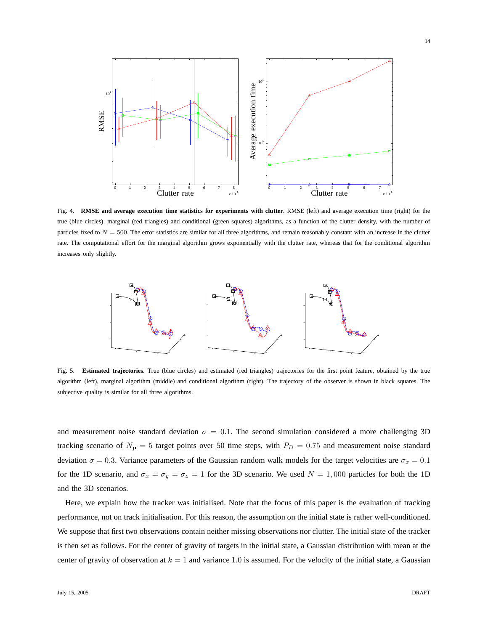

Fig. 4. **RMSE and average execution time statistics for experiments with clutter**. RMSE (left) and average execution time (right) for the true (blue circles), marginal (red triangles) and conditional (green squares) algorithms, as a function of the clutter density, with the number of particles fixed to  $N = 500$ . The error statistics are similar for all three algorithms, and remain reasonably constant with an increase in the clutter rate. The computational effort for the marginal algorithm grows exponentially with the clutter rate, whereas that for the conditional algorithm increases only slightly.



Fig. 5. **Estimated trajectories**. True (blue circles) and estimated (red triangles) trajectories for the first point feature, obtained by the true algorithm (left), marginal algorithm (middle) and conditional algorithm (right). The trajectory of the observer is shown in black squares. The subjective quality is similar for all three algorithms.

and measurement noise standard deviation  $\sigma = 0.1$ . The second simulation considered a more challenging 3D tracking scenario of  $N_p = 5$  target points over 50 time steps, with  $P_D = 0.75$  and measurement noise standard deviation  $\sigma = 0.3$ . Variance parameters of the Gaussian random walk models for the target velocities are  $\sigma_x = 0.1$ for the 1D scenario, and  $\sigma_x = \sigma_y = \sigma_z = 1$  for the 3D scenario. We used  $N = 1,000$  particles for both the 1D and the 3D scenarios.

Here, we explain how the tracker was initialised. Note that the focus of this paper is the evaluation of tracking performance, not on track initialisation. For this reason, the assumption on the initial state is rather well-conditioned. We suppose that first two observations contain neither missing observations nor clutter. The initial state of the tracker is then set as follows. For the center of gravity of targets in the initial state, a Gaussian distribution with mean at the center of gravity of observation at  $k = 1$  and variance 1.0 is assumed. For the velocity of the initial state, a Gaussian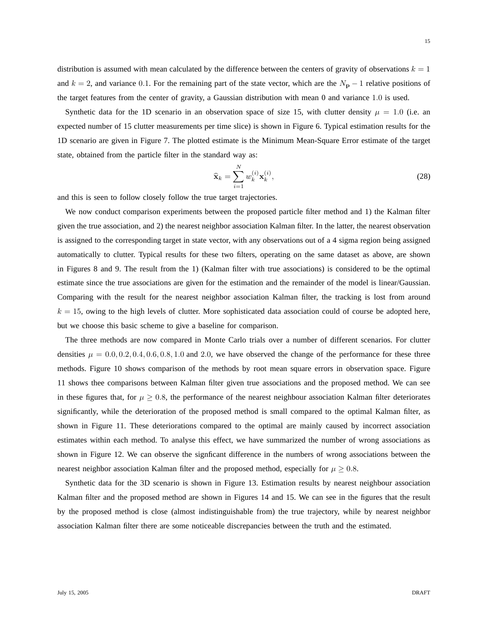Synthetic data for the 1D scenario in an observation space of size 15, with clutter density  $\mu = 1.0$  (i.e. an expected number of 15 clutter measurements per time slice) is shown in Figure 6. Typical estimation results for the 1D scenario are given in Figure 7. The plotted estimate is the Minimum Mean-Square Error estimate of the target state, obtained from the particle filter in the standard way as:

$$
\widehat{\mathbf{x}}_k = \sum_{i=1}^N w_k^{(i)} \mathbf{x}_k^{(i)},\tag{28}
$$

and this is seen to follow closely follow the true target trajectories.

We now conduct comparison experiments between the proposed particle filter method and 1) the Kalman filter given the true association, and 2) the nearest neighbor association Kalman filter. In the latter, the nearest observation is assigned to the corresponding target in state vector, with any observations out of a 4 sigma region being assigned automatically to clutter. Typical results for these two filters, operating on the same dataset as above, are shown in Figures 8 and 9. The result from the 1) (Kalman filter with true associations) is considered to be the optimal estimate since the true associations are given for the estimation and the remainder of the model is linear/Gaussian. Comparing with the result for the nearest neighbor association Kalman filter, the tracking is lost from around  $k = 15$ , owing to the high levels of clutter. More sophisticated data association could of course be adopted here, but we choose this basic scheme to give a baseline for comparison.

The three methods are now compared in Monte Carlo trials over a number of different scenarios. For clutter densities  $\mu = 0.0, 0.2, 0.4, 0.6, 0.8, 1.0$  and 2.0, we have observed the change of the performance for these three methods. Figure 10 shows comparison of the methods by root mean square errors in observation space. Figure 11 shows thee comparisons between Kalman filter given true associations and the proposed method. We can see in these figures that, for  $\mu \geq 0.8$ , the performance of the nearest neighbour association Kalman filter deteriorates significantly, while the deterioration of the proposed method is small compared to the optimal Kalman filter, as shown in Figure 11. These deteriorations compared to the optimal are mainly caused by incorrect association estimates within each method. To analyse this effect, we have summarized the number of wrong associations as shown in Figure 12. We can observe the signficant difference in the numbers of wrong associations between the nearest neighbor association Kalman filter and the proposed method, especially for  $\mu \geq 0.8$ .

Synthetic data for the 3D scenario is shown in Figure 13. Estimation results by nearest neighbour association Kalman filter and the proposed method are shown in Figures 14 and 15. We can see in the figures that the result by the proposed method is close (almost indistinguishable from) the true trajectory, while by nearest neighbor association Kalman filter there are some noticeable discrepancies between the truth and the estimated.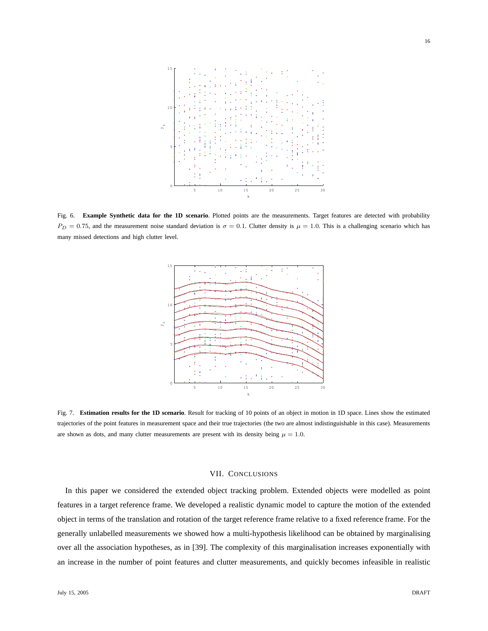

Fig. 6. **Example Synthetic data for the 1D scenario**. Plotted points are the measurements. Target features are detected with probability  $P_D = 0.75$ , and the measurement noise standard deviation is  $\sigma = 0.1$ . Clutter density is  $\mu = 1.0$ . This is a challenging scenario which has many missed detections and high clutter level.



Fig. 7. **Estimation results for the 1D scenario**. Result for tracking of 10 points of an object in motion in 1D space. Lines show the estimated trajectories of the point features in measurement space and their true trajectories (the two are almost indistinguishable in this case). Measurements are shown as dots, and many clutter measurements are present with its density being  $\mu = 1.0$ .

# VII. CONCLUSIONS

In this paper we considered the extended object tracking problem. Extended objects were modelled as point features in a target reference frame. We developed a realistic dynamic model to capture the motion of the extended object in terms of the translation and rotation of the target reference frame relative to a fixed reference frame. For the generally unlabelled measurements we showed how a multi-hypothesis likelihood can be obtained by marginalising over all the association hypotheses, as in [39]. The complexity of this marginalisation increases exponentially with an increase in the number of point features and clutter measurements, and quickly becomes infeasible in realistic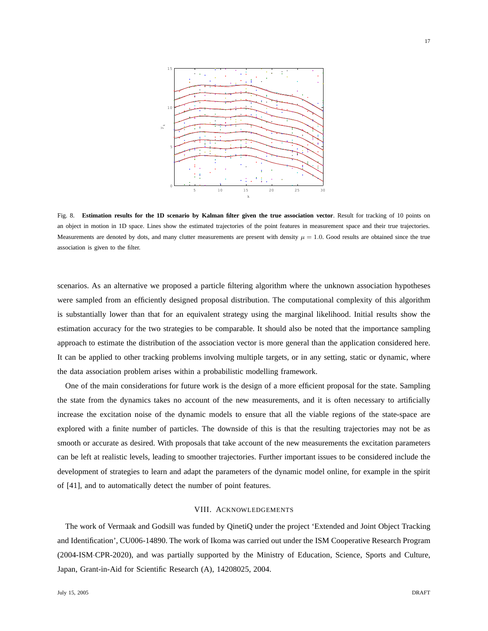

17



Fig. 8. **Estimation results for the 1D scenario by Kalman filter given the true association vector**. Result for tracking of 10 points on an object in motion in 1D space. Lines show the estimated trajectories of the point features in measurement space and their true trajectories. Measurements are denoted by dots, and many clutter measurements are present with density  $\mu = 1.0$ . Good results are obtained since the true association is given to the filter.

scenarios. As an alternative we proposed a particle filtering algorithm where the unknown association hypotheses were sampled from an efficiently designed proposal distribution. The computational complexity of this algorithm is substantially lower than that for an equivalent strategy using the marginal likelihood. Initial results show the estimation accuracy for the two strategies to be comparable. It should also be noted that the importance sampling approach to estimate the distribution of the association vector is more general than the application considered here. It can be applied to other tracking problems involving multiple targets, or in any setting, static or dynamic, where the data association problem arises within a probabilistic modelling framework.

One of the main considerations for future work is the design of a more efficient proposal for the state. Sampling the state from the dynamics takes no account of the new measurements, and it is often necessary to artificially increase the excitation noise of the dynamic models to ensure that all the viable regions of the state-space are explored with a finite number of particles. The downside of this is that the resulting trajectories may not be as smooth or accurate as desired. With proposals that take account of the new measurements the excitation parameters can be left at realistic levels, leading to smoother trajectories. Further important issues to be considered include the development of strategies to learn and adapt the parameters of the dynamic model online, for example in the spirit of [41], and to automatically detect the number of point features.

# VIII. ACKNOWLEDGEMENTS

The work of Vermaak and Godsill was funded by QinetiQ under the project 'Extended and Joint Object Tracking and Identification', CU006-14890. The work of Ikoma was carried out under the ISM Cooperative Research Program (2004-ISM·CPR-2020), and was partially supported by the Ministry of Education, Science, Sports and Culture, Japan, Grant-in-Aid for Scientific Research (A), 14208025, 2004.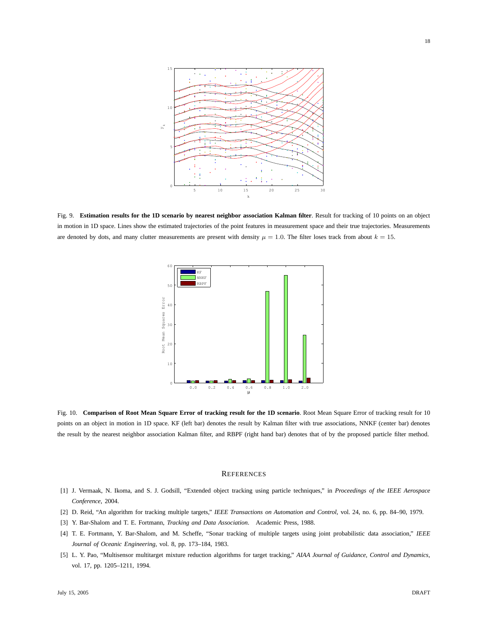

Fig. 9. **Estimation results for the 1D scenario by nearest neighbor association Kalman filter**. Result for tracking of 10 points on an object in motion in 1D space. Lines show the estimated trajectories of the point features in measurement space and their true trajectories. Measurements are denoted by dots, and many clutter measurements are present with density  $\mu = 1.0$ . The filter loses track from about  $k = 15$ .



Fig. 10. **Comparison of Root Mean Square Error of tracking result for the 1D scenario**. Root Mean Square Error of tracking result for 10 points on an object in motion in 1D space. KF (left bar) denotes the result by Kalman filter with true associations, NNKF (center bar) denotes the result by the nearest neighbor association Kalman filter, and RBPF (right hand bar) denotes that of by the proposed particle filter method.

#### **REFERENCES**

- [1] J. Vermaak, N. Ikoma, and S. J. Godsill, "Extended object tracking using particle techniques," in *Proceedings of the IEEE Aerospace Conference*, 2004.
- [2] D. Reid, "An algorithm for tracking multiple targets," *IEEE Transactions on Automation and Control*, vol. 24, no. 6, pp. 84–90, 1979.
- [3] Y. Bar-Shalom and T. E. Fortmann, *Tracking and Data Association*. Academic Press, 1988.
- [4] T. E. Fortmann, Y. Bar-Shalom, and M. Scheffe, "Sonar tracking of multiple targets using joint probabilistic data association," *IEEE Journal of Oceanic Engineering*, vol. 8, pp. 173–184, 1983.
- [5] L. Y. Pao, "Multisensor multitarget mixture reduction algorithms for target tracking," *AIAA Journal of Guidance, Control and Dynamics*, vol. 17, pp. 1205–1211, 1994.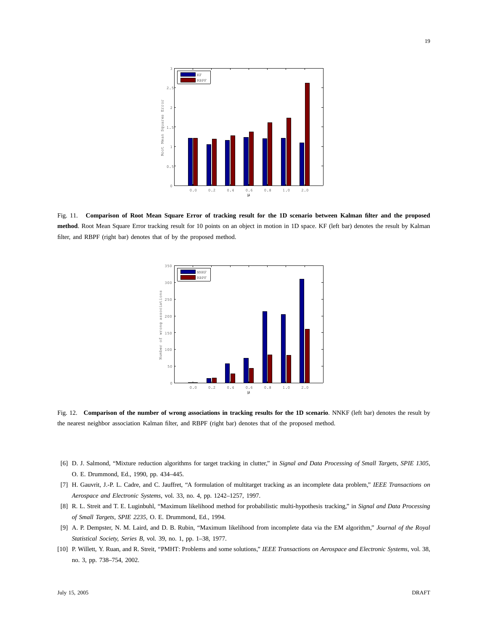

Fig. 11. **Comparison of Root Mean Square Error of tracking result for the 1D scenario between Kalman filter and the proposed method**. Root Mean Square Error tracking result for 10 points on an object in motion in 1D space. KF (left bar) denotes the result by Kalman filter, and RBPF (right bar) denotes that of by the proposed method.



Fig. 12. **Comparison of the number of wrong associations in tracking results for the 1D scenario**. NNKF (left bar) denotes the result by the nearest neighbor association Kalman filter, and RBPF (right bar) denotes that of the proposed method.

- [6] D. J. Salmond, "Mixture reduction algorithms for target tracking in clutter," in *Signal and Data Processing of Small Targets, SPIE 1305*, O. E. Drummond, Ed., 1990, pp. 434–445.
- [7] H. Gauvrit, J.-P. L. Cadre, and C. Jauffret, "A formulation of multitarget tracking as an incomplete data problem," *IEEE Transactions on Aerospace and Electronic Systems*, vol. 33, no. 4, pp. 1242–1257, 1997.
- [8] R. L. Streit and T. E. Luginbuhl, "Maximum likelihood method for probabilistic multi-hypothesis tracking," in *Signal and Data Processing of Small Targets, SPIE 2235*, O. E. Drummond, Ed., 1994.
- [9] A. P. Dempster, N. M. Laird, and D. B. Rubin, "Maximum likelihood from incomplete data via the EM algorithm," *Journal of the Royal Statistical Society, Series B*, vol. 39, no. 1, pp. 1–38, 1977.
- [10] P. Willett, Y. Ruan, and R. Streit, "PMHT: Problems and some solutions," *IEEE Transactions on Aerospace and Electronic Systems*, vol. 38, no. 3, pp. 738–754, 2002.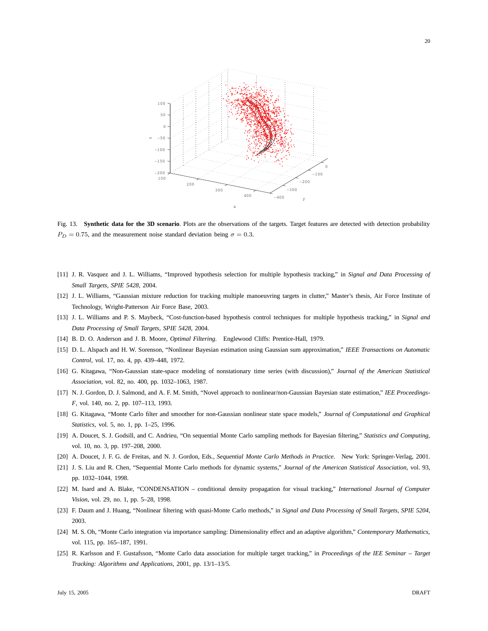

Fig. 13. **Synthetic data for the 3D scenario**. Plots are the observations of the targets. Target features are detected with detection probability  $P_D = 0.75$ , and the measurement noise standard deviation being  $\sigma = 0.3$ .

- [11] J. R. Vasquez and J. L. Williams, "Improved hypothesis selection for multiple hypothesis tracking," in *Signal and Data Processing of Small Targets, SPIE 5428*, 2004.
- [12] J. L. Williams, "Gaussian mixture reduction for tracking multiple manoeuvring targets in clutter," Master's thesis, Air Force Institute of Technology, Wright-Patterson Air Force Base, 2003.
- [13] J. L. Williams and P. S. Maybeck, "Cost-function-based hypothesis control techniques for multiple hypothesis tracking," in *Signal and Data Processing of Small Targets, SPIE 5428*, 2004.
- [14] B. D. O. Anderson and J. B. Moore, *Optimal Filtering*. Englewood Cliffs: Prentice-Hall, 1979.
- [15] D. L. Alspach and H. W. Sorenson, "Nonlinear Bayesian estimation using Gaussian sum approximation," *IEEE Transactions on Automatic Control*, vol. 17, no. 4, pp. 439–448, 1972.
- [16] G. Kitagawa, "Non-Gaussian state-space modeling of nonstationary time series (with discussion)," *Journal of the American Statistical Association*, vol. 82, no. 400, pp. 1032–1063, 1987.
- [17] N. J. Gordon, D. J. Salmond, and A. F. M. Smith, "Novel approach to nonlinear/non-Gaussian Bayesian state estimation," *IEE Proceedings-F*, vol. 140, no. 2, pp. 107–113, 1993.
- [18] G. Kitagawa, "Monte Carlo filter and smoother for non-Gaussian nonlinear state space models," *Journal of Computational and Graphical Statistics*, vol. 5, no. 1, pp. 1–25, 1996.
- [19] A. Doucet, S. J. Godsill, and C. Andrieu, "On sequential Monte Carlo sampling methods for Bayesian filtering," *Statistics and Computing*, vol. 10, no. 3, pp. 197–208, 2000.
- [20] A. Doucet, J. F. G. de Freitas, and N. J. Gordon, Eds., *Sequential Monte Carlo Methods in Practice*. New York: Springer-Verlag, 2001.
- [21] J. S. Liu and R. Chen, "Sequential Monte Carlo methods for dynamic systems," *Journal of the American Statistical Association*, vol. 93, pp. 1032–1044, 1998.
- [22] M. Isard and A. Blake, "CONDENSATION conditional density propagation for visual tracking," *International Journal of Computer Vision*, vol. 29, no. 1, pp. 5–28, 1998.
- [23] F. Daum and J. Huang, "Nonlinear filtering with quasi-Monte Carlo methods," in *Signal and Data Processing of Small Targets, SPIE 5204*, 2003.
- [24] M. S. Oh, "Monte Carlo integration via importance sampling: Dimensionality effect and an adaptive algorithm," *Contemporary Mathematics*, vol. 115, pp. 165–187, 1991.
- [25] R. Karlsson and F. Gustafsson, "Monte Carlo data association for multiple target tracking," in *Proceedings of the IEE Seminar Target Tracking: Algorithms and Applications*, 2001, pp. 13/1–13/5.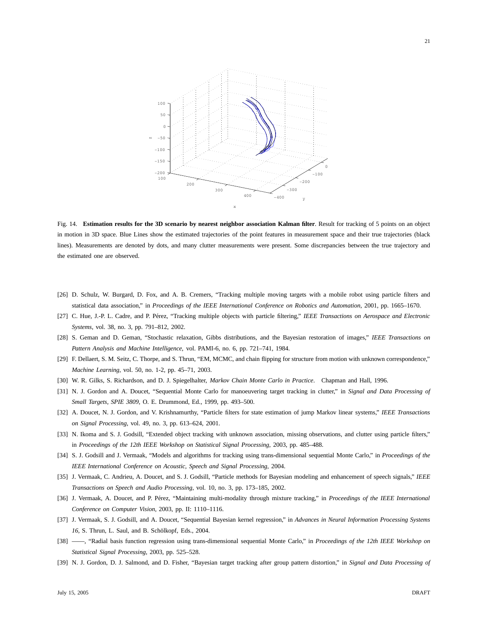

Fig. 14. **Estimation results for the 3D scenario by nearest neighbor association Kalman filter**. Result for tracking of 5 points on an object in motion in 3D space. Blue Lines show the estimated trajectories of the point features in measurement space and their true trajectories (black lines). Measurements are denoted by dots, and many clutter measurements were present. Some discrepancies between the true trajectory and the estimated one are observed.

- [26] D. Schulz, W. Burgard, D. Fox, and A. B. Cremers, "Tracking multiple moving targets with a mobile robot using particle filters and statistical data association," in *Proceedings of the IEEE International Conference on Robotics and Automation*, 2001, pp. 1665–1670.
- [27] C. Hue, J.-P. L. Cadre, and P. P´erez, "Tracking multiple objects with particle filtering," *IEEE Transactions on Aerospace and Electronic Systems*, vol. 38, no. 3, pp. 791–812, 2002.
- [28] S. Geman and D. Geman, "Stochastic relaxation, Gibbs distributions, and the Bayesian restoration of images," *IEEE Transactions on Pattern Analysis and Machine Intelligence*, vol. PAMI-6, no. 6, pp. 721–741, 1984.
- [29] F. Dellaert, S. M. Seitz, C. Thorpe, and S. Thrun, "EM, MCMC, and chain flipping for structure from motion with unknown correspondence," *Machine Learning*, vol. 50, no. 1-2, pp. 45–71, 2003.
- [30] W. R. Gilks, S. Richardson, and D. J. Spiegelhalter, *Markov Chain Monte Carlo in Practice*. Chapman and Hall, 1996.
- [31] N. J. Gordon and A. Doucet, "Sequential Monte Carlo for manoeuvering target tracking in clutter," in *Signal and Data Processing of Small Targets, SPIE 3809*, O. E. Drummond, Ed., 1999, pp. 493–500.
- [32] A. Doucet, N. J. Gordon, and V. Krishnamurthy, "Particle filters for state estimation of jump Markov linear systems," *IEEE Transactions on Signal Processing*, vol. 49, no. 3, pp. 613–624, 2001.
- [33] N. Ikoma and S. J. Godsill, "Extended object tracking with unknown association, missing observations, and clutter using particle filters," in *Proceedings of the 12th IEEE Workshop on Statistical Signal Processing*, 2003, pp. 485–488.
- [34] S. J. Godsill and J. Vermaak, "Models and algorithms for tracking using trans-dimensional sequential Monte Carlo," in *Proceedings of the IEEE International Conference on Acoustic, Speech and Signal Processing*, 2004.
- [35] J. Vermaak, C. Andrieu, A. Doucet, and S. J. Godsill, "Particle methods for Bayesian modeling and enhancement of speech signals," *IEEE Transactions on Speech and Audio Processing*, vol. 10, no. 3, pp. 173–185, 2002.
- [36] J. Vermaak, A. Doucet, and P. Pérez, "Maintaining multi-modality through mixture tracking," in *Proceedings of the IEEE International Conference on Computer Vision*, 2003, pp. II: 1110–1116.
- [37] J. Vermaak, S. J. Godsill, and A. Doucet, "Sequential Bayesian kernel regression," in *Advances in Neural Information Processing Systems 16*, S. Thrun, L. Saul, and B. Schölkopf, Eds., 2004.
- [38] ——, "Radial basis function regression using trans-dimensional sequential Monte Carlo," in *Proceedings of the 12th IEEE Workshop on Statistical Signal Processing*, 2003, pp. 525–528.
- [39] N. J. Gordon, D. J. Salmond, and D. Fisher, "Bayesian target tracking after group pattern distortion," in *Signal and Data Processing of*